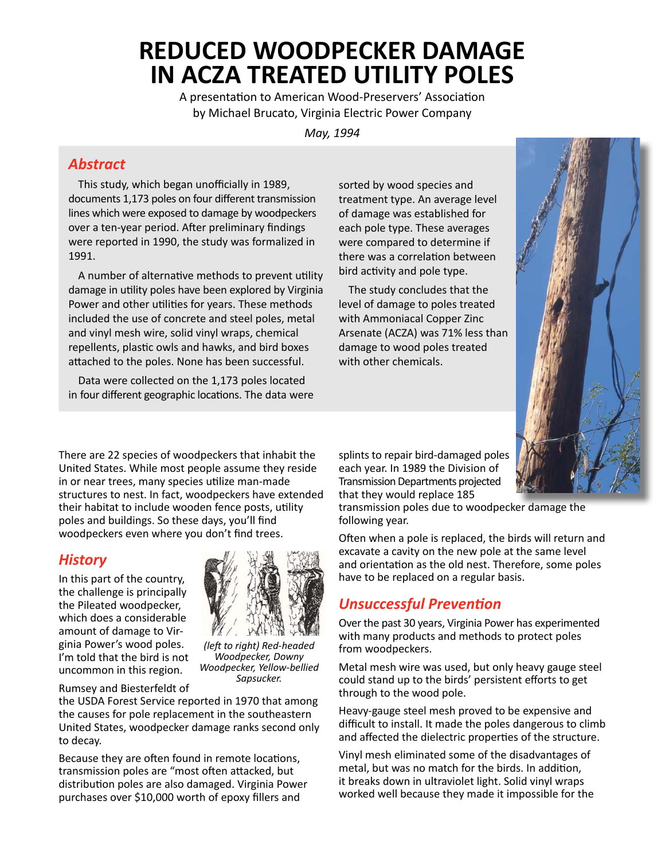# **REDUCED WOODPECKER DAMAGE IN ACZA TREATED UTILITY POLES**

A presentation to American Wood-Preservers' Association by Michael Brucato, Virginia Electric Power Company

*May, 1994*

#### *Abstract*

This study, which began unofficially in 1989, documents 1,173 poles on four different transmission lines which were exposed to damage by woodpeckers over a ten-year period. After preliminary findings were reported in 1990, the study was formalized in 1991.

A number of alternative methods to prevent utility damage in utility poles have been explored by Virginia Power and other utilities for years. These methods included the use of concrete and steel poles, metal and vinyl mesh wire, solid vinyl wraps, chemical repellents, plastic owls and hawks, and bird boxes attached to the poles. None has been successful.

Data were collected on the 1,173 poles located in four different geographic locations. The data were sorted by wood species and treatment type. An average level of damage was established for each pole type. These averages were compared to determine if there was a correlation between bird activity and pole type.

The study concludes that the level of damage to poles treated with Ammoniacal Copper Zinc Arsenate (ACZA) was 71% less than damage to wood poles treated with other chemicals.



There are 22 species of woodpeckers that inhabit the United States. While most people assume they reside in or near trees, many species utilize man-made structures to nest. In fact, woodpeckers have extended their habitat to include wooden fence posts, utility poles and buildings. So these days, you'll find woodpeckers even where you don't find trees.

# *History*

In this part of the country, the challenge is principally the Pileated woodpecker, which does a considerable amount of damage to Virginia Power's wood poles. I'm told that the bird is not uncommon in this region.



*(left to right) Red-headed Woodpecker, Downy Woodpecker, Yellow-bellied Sapsucker.*

Rumsey and Biesterfeldt of

the USDA Forest Service reported in 1970 that among the causes for pole replacement in the southeastern United States, woodpecker damage ranks second only to decay.

Because they are often found in remote locations, transmission poles are "most often attacked, but distribution poles are also damaged. Virginia Power purchases over \$10,000 worth of epoxy fillers and

splints to repair bird-damaged poles each year. In 1989 the Division of Transmission Departments projected that they would replace 185

transmission poles due to woodpecker damage the following year.

Often when a pole is replaced, the birds will return and excavate a cavity on the new pole at the same level and orientation as the old nest. Therefore, some poles have to be replaced on a regular basis.

# *Unsuccessful Prevention*

Over the past 30 years, Virginia Power has experimented with many products and methods to protect poles from woodpeckers.

Metal mesh wire was used, but only heavy gauge steel could stand up to the birds' persistent efforts to get through to the wood pole.

Heavy-gauge steel mesh proved to be expensive and difficult to install. It made the poles dangerous to climb and affected the dielectric properties of the structure.

Vinyl mesh eliminated some of the disadvantages of metal, but was no match for the birds. In addition, it breaks down in ultraviolet light. Solid vinyl wraps worked well because they made it impossible for the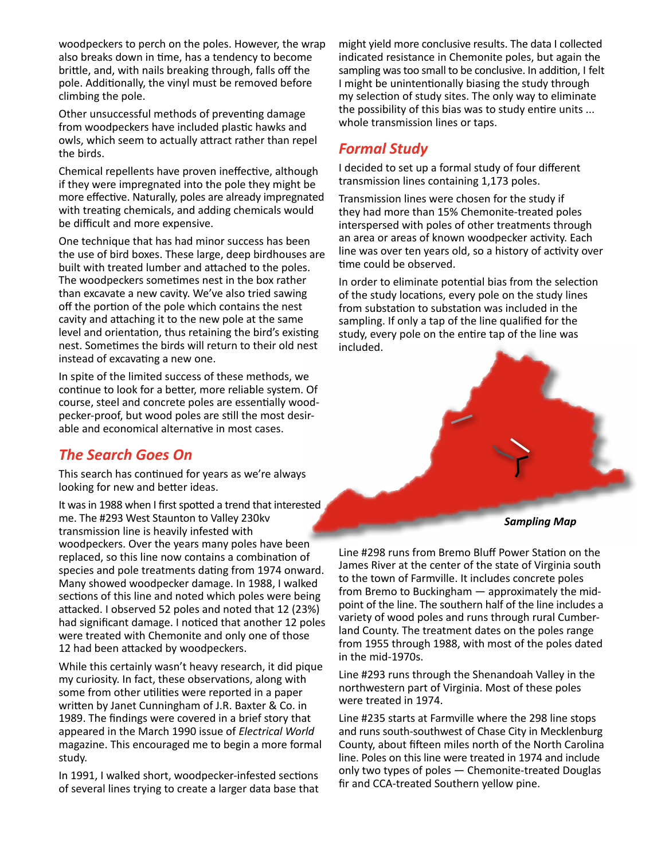woodpeckers to perch on the poles. However, the wrap also breaks down in time, has a tendency to become brittle, and, with nails breaking through, falls off the pole. Additionally, the vinyl must be removed before climbing the pole.

Other unsuccessful methods of preventing damage from woodpeckers have included plastic hawks and owls, which seem to actually attract rather than repel the birds.

Chemical repellents have proven ineffective, although if they were impregnated into the pole they might be more effective. Naturally, poles are already impregnated with treating chemicals, and adding chemicals would be difficult and more expensive.

One technique that has had minor success has been the use of bird boxes. These large, deep birdhouses are built with treated lumber and attached to the poles. The woodpeckers sometimes nest in the box rather than excavate a new cavity. We've also tried sawing off the portion of the pole which contains the nest cavity and attaching it to the new pole at the same level and orientation, thus retaining the bird's existing nest. Sometimes the birds will return to their old nest instead of excavating a new one.

In spite of the limited success of these methods, we continue to look for a better, more reliable system. Of course, steel and concrete poles are essentially woodpecker-proof, but wood poles are still the most desirable and economical alternative in most cases.

#### *The Search Goes On*

This search has continued for years as we're always looking for new and better ideas.

It was in 1988 when I first spotted a trend that interested me. The #293 West Staunton to Valley 230kv transmission line is heavily infested with woodpeckers. Over the years many poles have been replaced, so this line now contains a combination of species and pole treatments dating from 1974 onward. Many showed woodpecker damage. In 1988, I walked sections of this line and noted which poles were being attacked. I observed 52 poles and noted that 12 (23%) had significant damage. I noticed that another 12 poles were treated with Chemonite and only one of those 12 had been attacked by woodpeckers.

While this certainly wasn't heavy research, it did pique my curiosity. In fact, these observations, along with some from other utilities were reported in a paper written by Janet Cunningham of J.R. Baxter & Co. in 1989. The findings were covered in a brief story that appeared in the March 1990 issue of *Electrical World* magazine. This encouraged me to begin a more formal study.

In 1991, I walked short, woodpecker-infested sections of several lines trying to create a larger data base that might yield more conclusive results. The data I collected indicated resistance in Chemonite poles, but again the sampling was too small to be conclusive. In addition, I felt I might be unintentionally biasing the study through my selection of study sites. The only way to eliminate the possibility of this bias was to study entire units ... whole transmission lines or taps.

# *Formal Study*

I decided to set up a formal study of four different transmission lines containing 1,173 poles.

Transmission lines were chosen for the study if they had more than 15% Chemonite-treated poles interspersed with poles of other treatments through an area or areas of known woodpecker activity. Each line was over ten years old, so a history of activity over time could be observed.

In order to eliminate potential bias from the selection of the study locations, every pole on the study lines from substation to substation was included in the sampling. If only a tap of the line qualified for the study, every pole on the entire tap of the line was included.



*Sampling Map*

Line #298 runs from Bremo Bluff Power Station on the James River at the center of the state of Virginia south to the town of Farmville. It includes concrete poles from Bremo to Buckingham — approximately the midpoint of the line. The southern half of the line includes a variety of wood poles and runs through rural Cumberland County. The treatment dates on the poles range from 1955 through 1988, with most of the poles dated in the mid-1970s.

Line #293 runs through the Shenandoah Valley in the northwestern part of Virginia. Most of these poles were treated in 1974.

Line #235 starts at Farmville where the 298 line stops and runs south-southwest of Chase City in Mecklenburg County, about fifteen miles north of the North Carolina line. Poles on this line were treated in 1974 and include only two types of poles — Chemonite-treated Douglas fir and CCA-treated Southern yellow pine.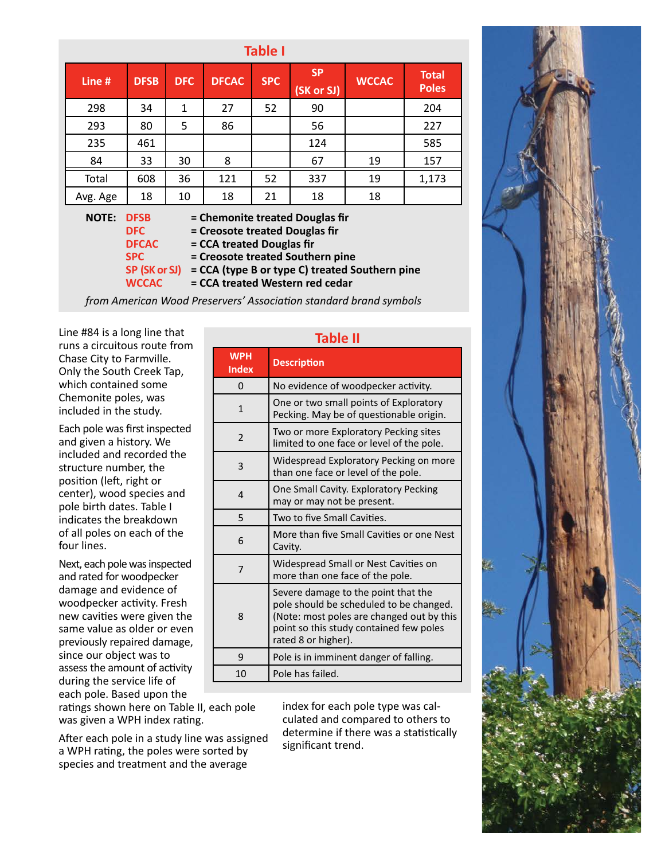| Line #                                                                                                                                                      | <b>DFSB</b> | <b>DFC</b>   | <b>DFCAC</b> | <b>SPC</b> | <b>SP</b><br>(SK or SJ) | <b>WCCAC</b> | <b>Total</b><br><b>Poles</b> |
|-------------------------------------------------------------------------------------------------------------------------------------------------------------|-------------|--------------|--------------|------------|-------------------------|--------------|------------------------------|
| 298                                                                                                                                                         | 34          | $\mathbf{1}$ | 27           | 52         | 90                      |              | 204                          |
| 293                                                                                                                                                         | 80          | 5            | 86           |            | 56                      |              | 227                          |
| 235                                                                                                                                                         | 461         |              |              |            | 124                     |              | 585                          |
| 84                                                                                                                                                          | 33          | 30           | 8            |            | 67                      | 19           | 157                          |
| Total                                                                                                                                                       | 608         | 36           | 121          | 52         | 337                     | 19           | 1,173                        |
| Avg. Age                                                                                                                                                    | 18          | 10           | 18           | 21         | 18                      | 18           |                              |
| <b>NOTE:</b><br><b>DFSB</b><br>= Chemonite treated Douglas fir<br>= Creosote treated Douglas fir<br><b>DFC</b><br>= CCA treated Douglas fir<br><b>DFCAC</b> |             |              |              |            |                         |              |                              |

**SPC = Creosote treated Southern pine**

**SP (SK or SJ) = CCA (type B or type C) treated Southern pine**

**WCCAC = CCA treated Western red cedar**

*from American Wood Preservers' Association standard brand symbols*

Line #84 is a long line that runs a circuitous route from Chase City to Farmville. Only the South Creek Tap, which contained some Chemonite poles, was included in the study.

Each pole was first inspected and given a history. We included and recorded the structure number, the position (left, right or center), wood species and pole birth dates. Table I indicates the breakdown of all poles on each of the four lines.

Next, each pole was inspected and rated for woodpecker damage and evidence of woodpecker activity. Fresh new cavities were given the same value as older or even previously repaired damage, since our object was to assess the amount of activity during the service life of each pole. Based upon the

ratings shown here on Table II, each pole was given a WPH index rating.

After each pole in a study line was assigned a WPH rating, the poles were sorted by species and treatment and the average

#### **Table II**

| <b>WPH</b><br><b>Index</b> | <b>Description</b>                                                                                                                                                                            |
|----------------------------|-----------------------------------------------------------------------------------------------------------------------------------------------------------------------------------------------|
| $\Omega$                   | No evidence of woodpecker activity.                                                                                                                                                           |
| 1                          | One or two small points of Exploratory<br>Pecking. May be of questionable origin.                                                                                                             |
| $\overline{2}$             | Two or more Exploratory Pecking sites<br>limited to one face or level of the pole.                                                                                                            |
| 3                          | Widespread Exploratory Pecking on more<br>than one face or level of the pole.                                                                                                                 |
| 4                          | One Small Cavity. Exploratory Pecking<br>may or may not be present.                                                                                                                           |
| 5                          | Two to five Small Cavities.                                                                                                                                                                   |
| 6                          | More than five Small Cavities or one Nest<br>Cavity.                                                                                                                                          |
| 7                          | Widespread Small or Nest Cavities on<br>more than one face of the pole.                                                                                                                       |
| 8                          | Severe damage to the point that the<br>pole should be scheduled to be changed.<br>(Note: most poles are changed out by this<br>point so this study contained few poles<br>rated 8 or higher). |
| 9                          | Pole is in imminent danger of falling.                                                                                                                                                        |
| 10                         | Pole has failed.                                                                                                                                                                              |

index for each pole type was calculated and compared to others to determine if there was a statistically significant trend.